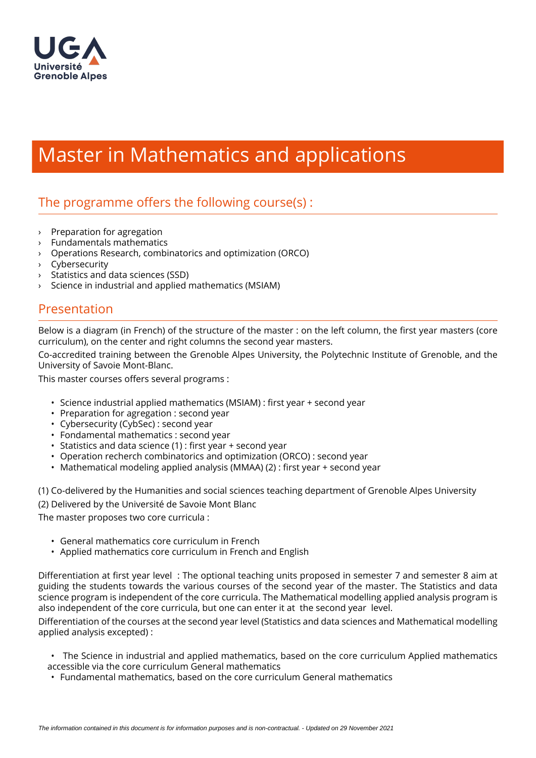

# Master in Mathematics and applications

## The programme offers the following course $(s)$ :

- › Preparation for agregation
- › Fundamentals mathematics
- › Operations Research, combinatorics and optimization (ORCO)
- › Cybersecurity
- › Statistics and data sciences (SSD)
- Science in industrial and applied mathematics (MSIAM)

### Presentation

Below is a diagram (in French) of the structure of the master : on the left column, the first year masters (core curriculum), on the center and right columns the second year masters.

Co-accredited training between the Grenoble Alpes University, the Polytechnic Institute of Grenoble, and the University of Savoie Mont-Blanc.

This master courses offers several programs :

- Science industrial applied mathematics (MSIAM) : first year + second year
- Preparation for agregation : second year
- Cybersecurity (CybSec) : second year
- Fondamental mathematics : second year
- $\cdot$  Statistics and data science (1) : first year + second year
- Operation recherch combinatorics and optimization (ORCO) : second year
- Mathematical modeling applied analysis (MMAA)  $(2)$  : first year + second year

(1) Co-delivered by the Humanities and social sciences teaching department of Grenoble Alpes University (2) Delivered by the Université de Savoie Mont Blanc

The master proposes two core curricula :

- General mathematics core curriculum in French
- Applied mathematics core curriculum in French and English

Differentiation at first year level : The optional teaching units proposed in semester 7 and semester 8 aim at guiding the students towards the various courses of the second year of the master. The Statistics and data science program is independent of the core curricula. The Mathematical modelling applied analysis program is also independent of the core curricula, but one can enter it at the second year level.

Differentiation of the courses at the second year level (Statistics and data sciences and Mathematical modelling applied analysis excepted) :

• The Science in industrial and applied mathematics, based on the core curriculum Applied mathematics accessible via the core curriculum General mathematics

• Fundamental mathematics, based on the core curriculum General mathematics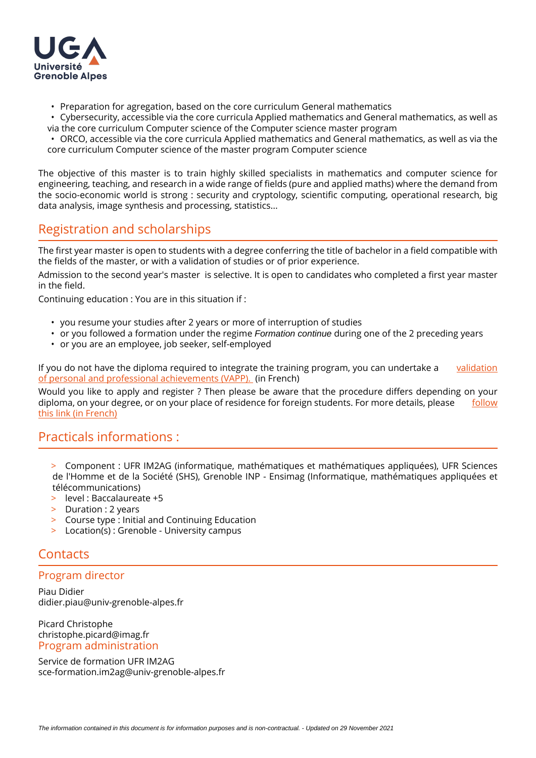

- Preparation for agregation, based on the core curriculum General mathematics
- Cybersecurity, accessible via the core curricula Applied mathematics and General mathematics, as well as via the core curriculum Computer science of the Computer science master program

• ORCO, accessible via the core curricula Applied mathematics and General mathematics, as well as via the core curriculum Computer science of the master program Computer science

The objective of this master is to train highly skilled specialists in mathematics and computer science for engineering, teaching, and research in a wide range of fields (pure and applied maths) where the demand from the socio-economic world is strong : security and cryptology, scientific computing, operational research, big data analysis, image synthesis and processing, statistics...

## Registration and scholarships

The first year master is open to students with a degree conferring the title of bachelor in a field compatible with the fields of the master, or with a validation of studies or of prior experience.

Admission to the second year's master is selective. It is open to candidates who completed a first year master in the field.

Continuing education : You are in this situation if :

- you resume your studies after 2 years or more of interruption of studies
- or you followed a formation under the regime *Formation continue* during one of the 2 preceding years
- or you are an employee, job seeker, self-employed

If you do not have the diploma required to integrate the training program, you can undertake a validation [of personal and professional achievements \(VAPP\).](https://www.univ-grenoble-alpes.fr/construire-son-parcours/valider-ses-acquis/validation-des-acquis-personnels-et-professionnels-vapp-/)  (in French)

Would you like to apply and register ? Then please be aware that the procedure differs depending on your diploma, on your degree, or on your place of residence for foreign students. For more details, please follow [this link \(in French\)](https://www.univ-grenoble-alpes.fr/candidater-et-s-inscrire/)

#### Practicals informations :

- > Component : UFR IM2AG (informatique, mathématiques et mathématiques appliquées), UFR Sciences de l'Homme et de la Société (SHS), Grenoble INP - Ensimag (Informatique, mathématiques appliquées et télécommunications)
- > level : Baccalaureate +5
- > Duration : 2 years
- > Course type : Initial and Continuing Education
- > Location(s) : Grenoble University campus

## **Contacts**

#### Program director

Piau Didier didier.piau@univ-grenoble-alpes.fr

Picard Christophe christophe.picard@imag.fr Program administration

Service de formation UFR IM2AG sce-formation.im2ag@univ-grenoble-alpes.fr